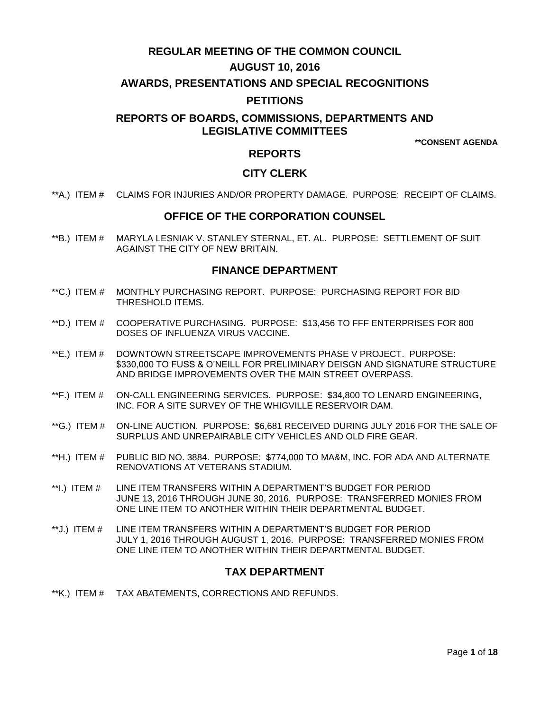# **REGULAR MEETING OF THE COMMON COUNCIL**

# **AUGUST 10, 2016**

# **AWARDS, PRESENTATIONS AND SPECIAL RECOGNITIONS**

# **PETITIONS**

# **REPORTS OF BOARDS, COMMISSIONS, DEPARTMENTS AND LEGISLATIVE COMMITTEES**

**\*\*CONSENT AGENDA**

# **REPORTS**

# **CITY CLERK**

\*\*A.) ITEM # [CLAIMS FOR INJURIES AND/OR PROPERTY DAMAGE. PURPOSE: RECEIPT OF CLAIMS.](#page-2-0)

# **OFFICE OF THE CORPORATION COUNSEL**

\*\*B.) ITEM # [MARYLA LESNIAK V. STANLEY STERNAL, ET. AL. PURPOSE: SETTLEMENT OF SUIT](#page-2-1)  [AGAINST THE CITY OF NEW BRITAIN.](#page-2-1) 

# **FINANCE DEPARTMENT**

- \*\*C.) ITEM # [MONTHLY PURCHASING REPORT. PURPOSE: PURCHASING REPORT FOR BID](#page-3-0)  [THRESHOLD ITEMS.](#page-3-0)
- \*\*D.) ITEM # [COOPERATIVE PURCHASING. PURPOSE: \\$13,456 TO FFF ENTERPRISES FOR 800](#page-3-1)  [DOSES OF INFLUENZA VIRUS VACCINE.](#page-3-1)
- \*\*E.) ITEM # [DOWNTOWN STREETSCAPE IMPROVEMENTS PHASE V PROJECT. PURPOSE:](#page-4-0)  [\\$330,000 TO FUSS & O"NEILL FOR PRELIMINARY DEISGN AND SIGNATURE STRUCTURE](#page-4-0)  [AND BRIDGE IMPROVEMENTS OVER THE MAIN STREET OVERPASS.](#page-4-0)
- \*\*F.) ITEM # [ON-CALL ENGINEERING SERVICES. PURPOSE: \\$34,800 TO LENARD ENGINEERING,](#page-4-1)  INC. [FOR A SITE SURVEY OF THE WHIGVILLE RESERVOIR DAM.](#page-4-1)
- \*\*G.) ITEM # [ON-LINE AUCTION. PURPOSE: \\$6,681 RECEIVED DURING JULY](#page-5-0) 2016 FOR THE SALE OF [SURPLUS AND UNREPAIRABLE CITY VEHICLES](#page-5-0) AND OLD FIRE GEAR.
- \*\*H.) ITEM # [PUBLIC BID NO. 3884. PURPOSE: \\$774,000 TO MA&M, INC. FOR ADA AND ALTERNATE](#page-5-1)  [RENOVATIONS AT VETERANS STADIUM.](#page-5-1)
- \*\*I.) ITEM # [LINE ITEM TRANSFERS WITHIN A DEPARTMENT"S BUDGET FOR PERIOD](#page-6-0)  JUNE 13, [2016 THROUGH JUNE 30, 2016. PURPOSE: TRANSFERRED MONIES FROM](#page-6-0)  [ONE LINE ITEM TO ANOTHER WITHIN THEIR DEPARTMENTAL BUDGET.](#page-6-0)
- \*\*J.) ITEM # [LINE ITEM TRANSFERS WITHIN A DEPARTMENT"S BUDGET FOR PERIOD](#page-7-0)  JULY 1, [2016 THROUGH AUGUST 1, 2016. PURPOSE: TRANSFERRED MONIES FROM](#page-7-0)  [ONE LINE ITEM TO ANOTHER WITHIN THEIR DEPARTMENTAL BUDGET.](#page-7-0)

# **TAX DEPARTMENT**

\*\*K.) ITEM # [TAX ABATEMENTS, CORRECTIONS AND REFUNDS.](#page-7-1)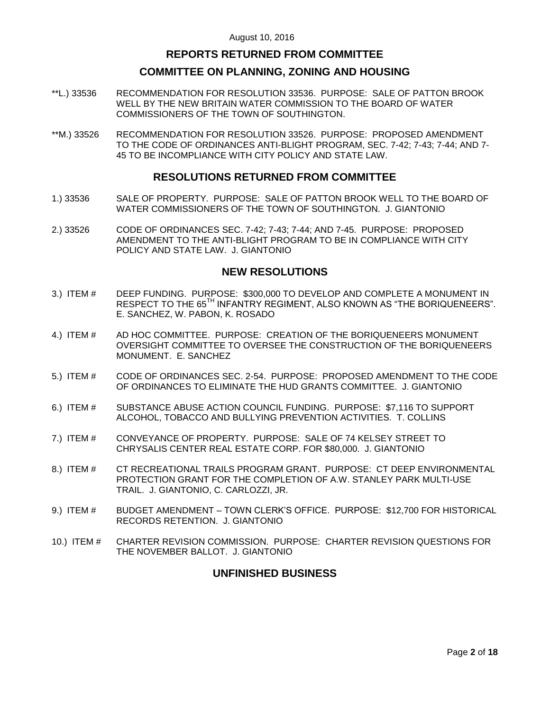# **REPORTS RETURNED FROM COMMITTEE**

# **COMMITTEE ON PLANNING, ZONING AND HOUSING**

- \*\*L.) 33536 [RECOMMENDATION FOR RESOLUTION 33536. PURPOSE: SALE OF PATTON BROOK](#page-7-2)  [WELL BY THE NEW BRITAIN WATER COMMISSION TO THE BOARD OF WATER](#page-7-2)  [COMMISSIONERS OF THE TOWN OF SOUTHINGTON.](#page-7-2)
- \*\*M.) 33526 [RECOMMENDATION FOR RESOLUTION 33526. PURPOSE: PROPOSED AMENDMENT](#page-8-0)  [TO THE CODE OF ORDINANCES ANTI-BLIGHT PROGRAM, SEC. 7-42;](#page-8-0) 7-43; 7-44; AND 7- [45 TO BE INCOMPLIANCE WITH CITY POLICY AND STATE LAW.](#page-8-0)

# **RESOLUTIONS RETURNED FROM COMMITTEE**

- 1.) 33536 [SALE OF PROPERTY. PURPOSE: SALE OF PATTON BROOK WELL TO THE BOARD OF](#page-8-1)  WATER COMMISSIONERS OF THE [TOWN OF SOUTHINGTON. J. GIANTONIO](#page-8-1)
- 2.) 33526 [CODE OF ORDINANCES SEC. 7-42; 7-43; 7-44; AND 7-45. PURPOSE: PROPOSED](#page-9-0)  [AMENDMENT TO THE ANTI-BLIGHT PROGRAM TO BE IN](#page-9-0) COMPLIANCE WITH CITY [POLICY AND STATE LAW. J. GIANTONIO](#page-9-0)

# **NEW RESOLUTIONS**

- 3.) ITEM # [DEEP FUNDING. PURPOSE: \\$300,000 TO DEVELOP AND COMPLETE A MONUMENT IN](#page-12-0)  RESPECT TO THE 65<sup>TH</sup> INFANTRY REGIMENT, ALSO KNOWN AS "THE BORIQUENEERS". [E. SANCHEZ, W. PABON, K. ROSADO](#page-12-0)
- 4.) ITEM # AD HOC [COMMITTEE. PURPOSE: CREATION OF THE BORIQUENEERS MONUMENT](#page-13-0)  [OVERSIGHT COMMITTEE TO OVERSEE THE CONSTRUCTION OF THE BORIQUENEERS](#page-13-0)  [MONUMENT. E. SANCHEZ](#page-13-0)
- 5.) ITEM # [CODE OF ORDINANCES SEC. 2-54. PURPOSE: PROPOSED AMENDMENT TO THE CODE](#page-14-0)  [OF ORDINANCES TO ELIMINATE THE HUD GRANTS COMMITTEE. J. GIANTONIO](#page-14-0)
- 6.) ITEM # [SUBSTANCE ABUSE ACTION COUNCIL FUNDING. PURPOSE: \\$7,116 TO](#page-14-1) SUPPORT [ALCOHOL, TOBACCO AND BULLYING PREVENTION ACTIVITIES. T. COLLINS](#page-14-1)
- 7.) ITEM # [CONVEYANCE OF PROPERTY. PURPOSE: SALE OF 74 KELSEY STREET TO](#page-15-0)  [CHRYSALIS CENTER REAL ESTATE CORP. FOR \\$80,000. J. GIANTONIO](#page-15-0)
- 8.) ITEM # [CT RECREATIONAL TRAILS PROGRAM GRANT. PURPOSE: CT DEEP ENVIRONMENTAL](#page-16-0)  [PROTECTION GRANT FOR THE COMPLETION OF A.W. STANLEY PARK MULTI-USE](#page-16-0)  [TRAIL. J. GIANTONIO, C. CARLOZZI, JR.](#page-16-0)
- 9.) ITEM # BUDGET AMENDMENT [TOWN CLERK"S OFFICE. PURPOSE: \\$12,700](#page-16-1) FOR HISTORICAL [RECORDS RETENTION. J. GIANTONIO](#page-16-1)
- 10.) ITEM # [CHARTER REVISION COMMISSION. PURPOSE: CHARTER REVISION QUESTIONS FOR](#page-17-0)  [THE NOVEMBER BALLOT. J. GIANTONIO](#page-17-0)

# **UNFINISHED BUSINESS**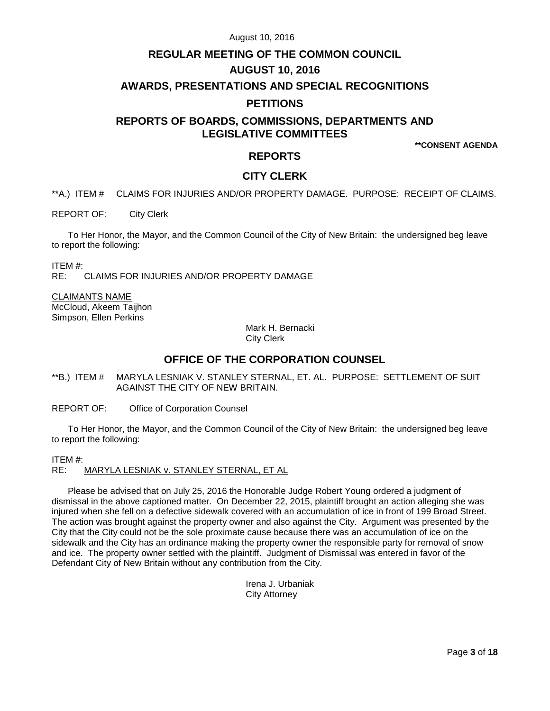# **REGULAR MEETING OF THE COMMON COUNCIL AUGUST 10, 2016**

## **AWARDS, PRESENTATIONS AND SPECIAL RECOGNITIONS**

# **PETITIONS**

# **REPORTS OF BOARDS, COMMISSIONS, DEPARTMENTS AND LEGISLATIVE COMMITTEES**

**\*\*CONSENT AGENDA**

# **REPORTS**

# **CITY CLERK**

<span id="page-2-0"></span>\*\*A.) ITEM # CLAIMS FOR INJURIES AND/OR PROPERTY DAMAGE. PURPOSE: RECEIPT OF CLAIMS.

REPORT OF: City Clerk

To Her Honor, the Mayor, and the Common Council of the City of New Britain: the undersigned beg leave to report the following:

ITEM #: CLAIMS FOR INJURIES AND/OR PROPERTY DAMAGE

CLAIMANTS NAME

McCloud, Akeem Taijhon Simpson, Ellen Perkins

> Mark H. Bernacki City Clerk

# **OFFICE OF THE CORPORATION COUNSEL**

<span id="page-2-1"></span>\*\*B.) ITEM # MARYLA LESNIAK V. STANLEY STERNAL, ET. AL. PURPOSE: SETTLEMENT OF SUIT AGAINST THE CITY OF NEW BRITAIN.

REPORT OF: Office of Corporation Counsel

To Her Honor, the Mayor, and the Common Council of the City of New Britain: the undersigned beg leave to report the following:

### ITEM #:

RE: MARYLA LESNIAK v. STANLEY STERNAL, ET AL

Please be advised that on July 25, 2016 the Honorable Judge Robert Young ordered a judgment of dismissal in the above captioned matter. On December 22, 2015, plaintiff brought an action alleging she was injured when she fell on a defective sidewalk covered with an accumulation of ice in front of 199 Broad Street. The action was brought against the property owner and also against the City. Argument was presented by the City that the City could not be the sole proximate cause because there was an accumulation of ice on the sidewalk and the City has an ordinance making the property owner the responsible party for removal of snow and ice. The property owner settled with the plaintiff. Judgment of Dismissal was entered in favor of the Defendant City of New Britain without any contribution from the City.

> Irena J. Urbaniak City Attorney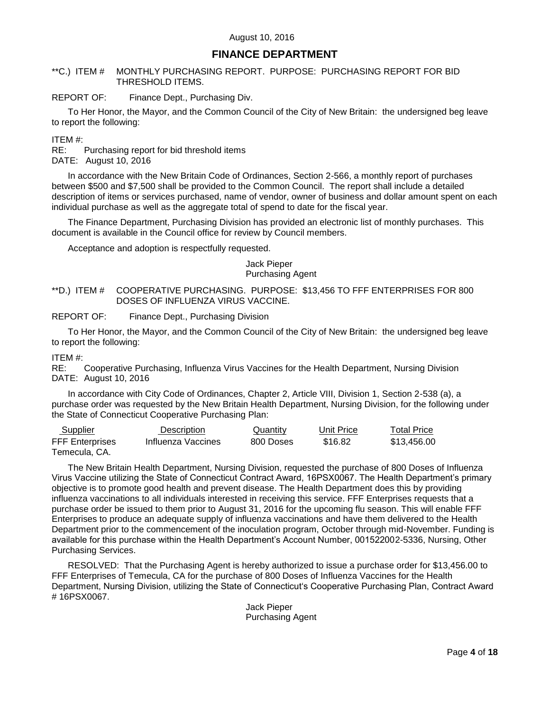# **FINANCE DEPARTMENT**

## <span id="page-3-0"></span>\*\*C.) ITEM # MONTHLY PURCHASING REPORT. PURPOSE: PURCHASING REPORT FOR BID THRESHOLD ITEMS.

## REPORT OF: Finance Dept., Purchasing Div.

To Her Honor, the Mayor, and the Common Council of the City of New Britain: the undersigned beg leave to report the following:

## ITEM #:

RE: Purchasing report for bid threshold items DATE: August 10, 2016

In accordance with the New Britain Code of Ordinances, Section 2-566, a monthly report of purchases between \$500 and \$7,500 shall be provided to the Common Council. The report shall include a detailed description of items or services purchased, name of vendor, owner of business and dollar amount spent on each individual purchase as well as the aggregate total of spend to date for the fiscal year.

The Finance Department, Purchasing Division has provided an electronic list of monthly purchases. This document is available in the Council office for review by Council members.

Acceptance and adoption is respectfully requested.

#### Jack Pieper Purchasing Agent

<span id="page-3-1"></span>\*\*D.) ITEM # COOPERATIVE PURCHASING. PURPOSE: \$13,456 TO FFF ENTERPRISES FOR 800 DOSES OF INFLUENZA VIRUS VACCINE.

REPORT OF: Finance Dept., Purchasing Division

To Her Honor, the Mayor, and the Common Council of the City of New Britain: the undersigned beg leave to report the following:

ITEM #:

RE: Cooperative Purchasing, Influenza Virus Vaccines for the Health Department, Nursing Division DATE: August 10, 2016

In accordance with City Code of Ordinances, Chapter 2, Article VIII, Division 1, Section 2-538 (a), a purchase order was requested by the New Britain Health Department, Nursing Division, for the following under the State of Connecticut Cooperative Purchasing Plan:

| Supplier               | Description        | Quantity  | Unit Price | <b>Total Price</b> |
|------------------------|--------------------|-----------|------------|--------------------|
| <b>FFF Enterprises</b> | Influenza Vaccines | 800 Doses | \$16.82    | \$13.456.00        |
| Temecula. CA.          |                    |           |            |                    |

The New Britain Health Department, Nursing Division, requested the purchase of 800 Doses of Influenza Virus Vaccine utilizing the State of Connecticut Contract Award, 16PSX0067. The Health Department"s primary objective is to promote good health and prevent disease. The Health Department does this by providing influenza vaccinations to all individuals interested in receiving this service. FFF Enterprises requests that a purchase order be issued to them prior to August 31, 2016 for the upcoming flu season. This will enable FFF Enterprises to produce an adequate supply of influenza vaccinations and have them delivered to the Health Department prior to the commencement of the inoculation program, October through mid-November. Funding is available for this purchase within the Health Department"s Account Number, 001522002-5336, Nursing, Other Purchasing Services.

RESOLVED: That the Purchasing Agent is hereby authorized to issue a purchase order for \$13,456.00 to FFF Enterprises of Temecula, CA for the purchase of 800 Doses of Influenza Vaccines for the Health Department, Nursing Division, utilizing the State of Connecticut"s Cooperative Purchasing Plan, Contract Award # 16PSX0067.

Jack Pieper Purchasing Agent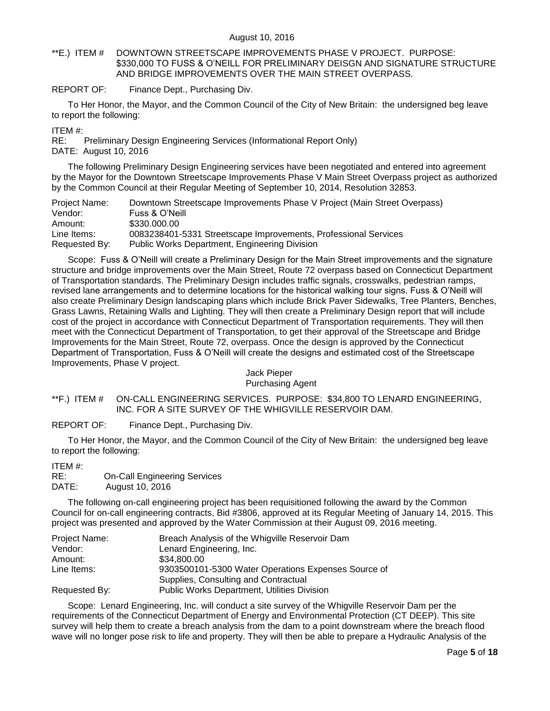<span id="page-4-0"></span>\*\*E.) ITEM # DOWNTOWN STREETSCAPE IMPROVEMENTS PHASE V PROJECT. PURPOSE: \$330,000 TO FUSS & O"NEILL FOR PRELIMINARY DEISGN AND SIGNATURE STRUCTURE AND BRIDGE IMPROVEMENTS OVER THE MAIN STREET OVERPASS.

REPORT OF: Finance Dept., Purchasing Div.

To Her Honor, the Mayor, and the Common Council of the City of New Britain: the undersigned beg leave to report the following:

ITEM #:

RE: Preliminary Design Engineering Services (Informational Report Only) DATE: August 10, 2016

The following Preliminary Design Engineering services have been negotiated and entered into agreement by the Mayor for the Downtown Streetscape Improvements Phase V Main Street Overpass project as authorized by the Common Council at their Regular Meeting of September 10, 2014, Resolution 32853.

| Project Name: | Downtown Streetscape Improvements Phase V Project (Main Street Overpass) |
|---------------|--------------------------------------------------------------------------|
| Vendor:       | Fuss & O'Neill                                                           |
| Amount:       | \$330,000.00                                                             |
| Line Items:   | 0083238401-5331 Streetscape Improvements, Professional Services          |
| Requested By: | <b>Public Works Department, Engineering Division</b>                     |

Scope: Fuss & O"Neill will create a Preliminary Design for the Main Street improvements and the signature structure and bridge improvements over the Main Street, Route 72 overpass based on Connecticut Department of Transportation standards. The Preliminary Design includes traffic signals, crosswalks, pedestrian ramps, revised lane arrangements and to determine locations for the historical walking tour signs. Fuss & O"Neill will also create Preliminary Design landscaping plans which include Brick Paver Sidewalks, Tree Planters, Benches, Grass Lawns, Retaining Walls and Lighting. They will then create a Preliminary Design report that will include cost of the project in accordance with Connecticut Department of Transportation requirements. They will then meet with the Connecticut Department of Transportation, to get their approval of the Streetscape and Bridge Improvements for the Main Street, Route 72, overpass. Once the design is approved by the Connecticut Department of Transportation, Fuss & O"Neill will create the designs and estimated cost of the Streetscape Improvements, Phase V project.

## Jack Pieper Purchasing Agent

## <span id="page-4-1"></span>\*\*F.) ITEM # ON-CALL ENGINEERING SERVICES. PURPOSE: \$34,800 TO LENARD ENGINEERING, INC. FOR A SITE SURVEY OF THE WHIGVILLE RESERVOIR DAM.

REPORT OF: Finance Dept., Purchasing Div.

To Her Honor, the Mayor, and the Common Council of the City of New Britain: the undersigned beg leave to report the following:

ITEM #:

```
RE: On-Call Engineering Services 
DATE: August 10, 2016
```
The following on-call engineering project has been requisitioned following the award by the Common Council for on-call engineering contracts, Bid #3806, approved at its Regular Meeting of January 14, 2015. This project was presented and approved by the Water Commission at their August 09, 2016 meeting.

| Project Name: | Breach Analysis of the Whigville Reservoir Dam      |
|---------------|-----------------------------------------------------|
| Vendor:       | Lenard Engineering, Inc.                            |
| Amount:       | \$34,800.00                                         |
| Line Items:   | 9303500101-5300 Water Operations Expenses Source of |
|               | Supplies, Consulting and Contractual                |
| Requested By: | Public Works Department, Utilities Division         |

Scope: Lenard Engineering, Inc. will conduct a site survey of the Whigville Reservoir Dam per the requirements of the Connecticut Department of Energy and Environmental Protection (CT DEEP). This site survey will help them to create a breach analysis from the dam to a point downstream where the breach flood wave will no longer pose risk to life and property. They will then be able to prepare a Hydraulic Analysis of the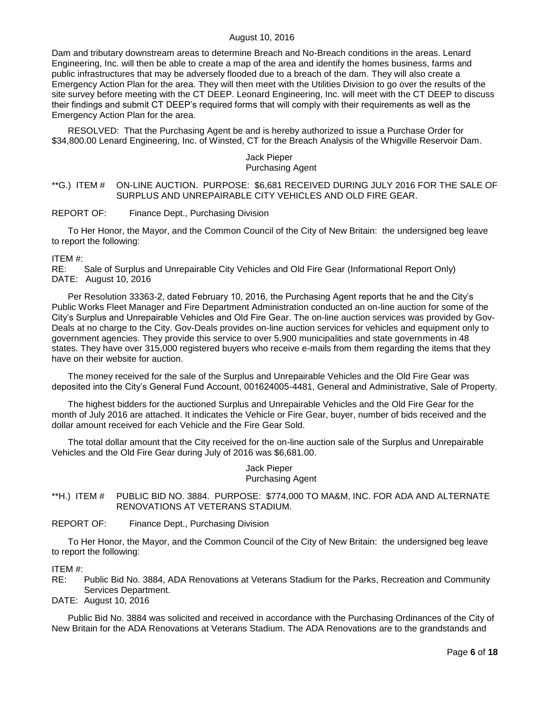Dam and tributary downstream areas to determine Breach and No-Breach conditions in the areas. Lenard Engineering, Inc. will then be able to create a map of the area and identify the homes business, farms and public infrastructures that may be adversely flooded due to a breach of the dam. They will also create a Emergency Action Plan for the area. They will then meet with the Utilities Division to go over the results of the site survey before meeting with the CT DEEP. Leonard Engineering, Inc. will meet with the CT DEEP to discuss their findings and submit CT DEEP"s required forms that will comply with their requirements as well as the Emergency Action Plan for the area.

RESOLVED: That the Purchasing Agent be and is hereby authorized to issue a Purchase Order for \$34,800.00 Lenard Engineering, Inc. of Winsted, CT for the Breach Analysis of the Whigville Reservoir Dam.

#### Jack Pieper Purchasing Agent

### <span id="page-5-0"></span>\*\*G.) ITEM # ON-LINE AUCTION. PURPOSE: \$6,681 RECEIVED DURING JULY 2016 FOR THE SALE OF SURPLUS AND UNREPAIRABLE CITY VEHICLES AND OLD FIRE GEAR.

#### REPORT OF: Finance Dept., Purchasing Division

To Her Honor, the Mayor, and the Common Council of the City of New Britain: the undersigned beg leave to report the following:

#### ITEM #:

RE: Sale of Surplus and Unrepairable City Vehicles and Old Fire Gear (Informational Report Only) DATE: August 10, 2016

Per Resolution 33363-2, dated February 10, 2016, the Purchasing Agent reports that he and the City"s Public Works Fleet Manager and Fire Department Administration conducted an on-line auction for some of the City"s Surplus and Unrepairable Vehicles and Old Fire Gear. The on-line auction services was provided by Gov-Deals at no charge to the City. Gov-Deals provides on-line auction services for vehicles and equipment only to government agencies. They provide this service to over 5,900 municipalities and state governments in 48 states. They have over 315,000 registered buyers who receive e-mails from them regarding the items that they have on their website for auction.

The money received for the sale of the Surplus and Unrepairable Vehicles and the Old Fire Gear was deposited into the City"s General Fund Account, 001624005-4481, General and Administrative, Sale of Property.

The highest bidders for the auctioned Surplus and Unrepairable Vehicles and the Old Fire Gear for the month of July 2016 are attached. It indicates the Vehicle or Fire Gear, buyer, number of bids received and the dollar amount received for each Vehicle and the Fire Gear Sold.

The total dollar amount that the City received for the on-line auction sale of the Surplus and Unrepairable Vehicles and the Old Fire Gear during July of 2016 was \$6,681.00.

#### Jack Pieper Purchasing Agent

### <span id="page-5-1"></span>\*\*H.) ITEM # PUBLIC BID NO. 3884. PURPOSE: \$774,000 TO MA&M, INC. FOR ADA AND ALTERNATE RENOVATIONS AT VETERANS STADIUM.

REPORT OF: Finance Dept., Purchasing Division

To Her Honor, the Mayor, and the Common Council of the City of New Britain: the undersigned beg leave to report the following:

### ITEM #:

RE: Public Bid No. 3884, ADA Renovations at Veterans Stadium for the Parks, Recreation and Community Services Department.

DATE: August 10, 2016

Public Bid No. 3884 was solicited and received in accordance with the Purchasing Ordinances of the City of New Britain for the ADA Renovations at Veterans Stadium. The ADA Renovations are to the grandstands and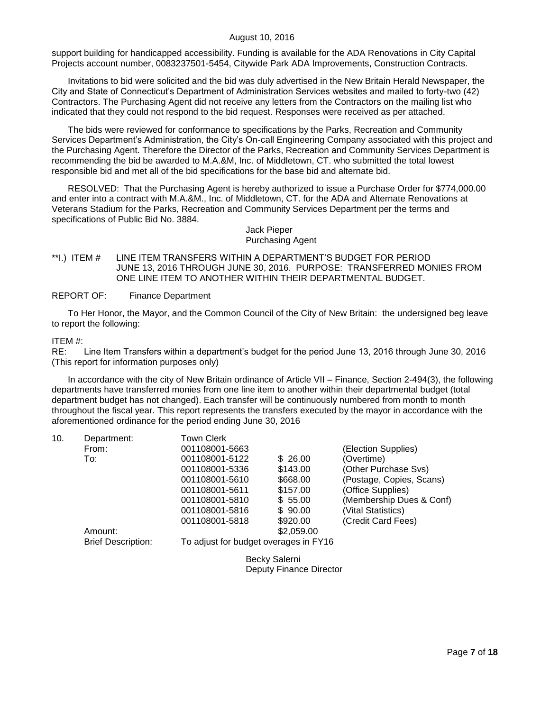support building for handicapped accessibility. Funding is available for the ADA Renovations in City Capital Projects account number, 0083237501-5454, Citywide Park ADA Improvements, Construction Contracts.

Invitations to bid were solicited and the bid was duly advertised in the New Britain Herald Newspaper, the City and State of Connecticut"s Department of Administration Services websites and mailed to forty-two (42) Contractors. The Purchasing Agent did not receive any letters from the Contractors on the mailing list who indicated that they could not respond to the bid request. Responses were received as per attached.

The bids were reviewed for conformance to specifications by the Parks, Recreation and Community Services Department"s Administration, the City"s On-call Engineering Company associated with this project and the Purchasing Agent. Therefore the Director of the Parks, Recreation and Community Services Department is recommending the bid be awarded to M.A.&M, Inc. of Middletown, CT. who submitted the total lowest responsible bid and met all of the bid specifications for the base bid and alternate bid.

RESOLVED: That the Purchasing Agent is hereby authorized to issue a Purchase Order for \$774,000.00 and enter into a contract with M.A.&M., Inc. of Middletown, CT. for the ADA and Alternate Renovations at Veterans Stadium for the Parks, Recreation and Community Services Department per the terms and specifications of Public Bid No. 3884.

#### Jack Pieper Purchasing Agent

### <span id="page-6-0"></span>\*\*I.) ITEM # LINE ITEM TRANSFERS WITHIN A DEPARTMENT"S BUDGET FOR PERIOD JUNE 13, 2016 THROUGH JUNE 30, 2016. PURPOSE: TRANSFERRED MONIES FROM ONE LINE ITEM TO ANOTHER WITHIN THEIR DEPARTMENTAL BUDGET.

### REPORT OF: Finance Department

To Her Honor, the Mayor, and the Common Council of the City of New Britain: the undersigned beg leave to report the following:

### ITEM #:

RE: Line Item Transfers within a department"s budget for the period June 13, 2016 through June 30, 2016 (This report for information purposes only)

In accordance with the city of New Britain ordinance of Article VII – Finance, Section 2-494(3), the following departments have transferred monies from one line item to another within their departmental budget (total department budget has not changed). Each transfer will be continuously numbered from month to month throughout the fiscal year. This report represents the transfers executed by the mayor in accordance with the aforementioned ordinance for the period ending June 30, 2016

| 10. | Department:               | <b>Town Clerk</b>                     |                |                          |
|-----|---------------------------|---------------------------------------|----------------|--------------------------|
|     | From:                     | 001108001-5663                        |                | (Election Supplies)      |
|     | To:                       | 001108001-5122                        | \$26.00        | (Overtime)               |
|     |                           | 001108001-5336                        | \$143.00       | (Other Purchase Svs)     |
|     |                           | 001108001-5610                        | \$668.00       | (Postage, Copies, Scans) |
|     |                           | 001108001-5611                        | \$157.00       | (Office Supplies)        |
|     |                           | 001108001-5810                        | \$55.00        | (Membership Dues & Conf) |
|     |                           | 001108001-5816                        | \$90.00        | (Vital Statistics)       |
|     |                           | 001108001-5818                        | \$920.00       | (Credit Card Fees)       |
|     | Amount:                   |                                       | \$2,059.00     |                          |
|     | <b>Brief Description:</b> | To adjust for budget overages in FY16 |                |                          |
|     |                           |                                       | Dooler Colorni |                          |

Becky Salerni Deputy Finance Director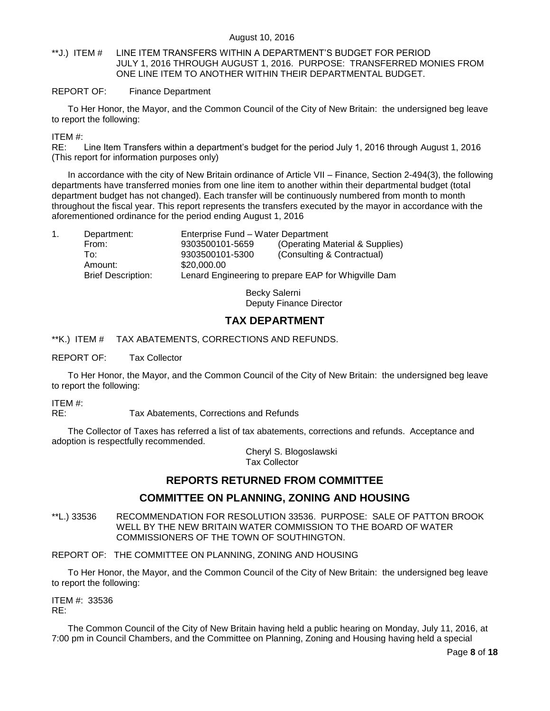<span id="page-7-0"></span>\*\*J.) ITEM # LINE ITEM TRANSFERS WITHIN A DEPARTMENT"S BUDGET FOR PERIOD JULY 1, 2016 THROUGH AUGUST 1, 2016. PURPOSE: TRANSFERRED MONIES FROM ONE LINE ITEM TO ANOTHER WITHIN THEIR DEPARTMENTAL BUDGET.

## REPORT OF: Finance Department

To Her Honor, the Mayor, and the Common Council of the City of New Britain: the undersigned beg leave to report the following:

ITEM #:

RE: Line Item Transfers within a department"s budget for the period July 1, 2016 through August 1, 2016 (This report for information purposes only)

In accordance with the city of New Britain ordinance of Article VII – Finance, Section 2-494(3), the following departments have transferred monies from one line item to another within their departmental budget (total department budget has not changed). Each transfer will be continuously numbered from month to month throughout the fiscal year. This report represents the transfers executed by the mayor in accordance with the aforementioned ordinance for the period ending August 1, 2016

| Department:               | Enterprise Fund – Water Department |                                                     |  |
|---------------------------|------------------------------------|-----------------------------------------------------|--|
| From:                     | 9303500101-5659                    | (Operating Material & Supplies)                     |  |
| To:                       | 9303500101-5300                    | (Consulting & Contractual)                          |  |
| Amount:                   | \$20,000.00                        |                                                     |  |
| <b>Brief Description:</b> |                                    | Lenard Engineering to prepare EAP for Whigville Dam |  |

Becky Salerni Deputy Finance Director

# **TAX DEPARTMENT**

## <span id="page-7-1"></span>\*\*K.) ITEM # TAX ABATEMENTS, CORRECTIONS AND REFUNDS.

## REPORT OF: Tax Collector

To Her Honor, the Mayor, and the Common Council of the City of New Britain: the undersigned beg leave to report the following:

ITEM #:

RE: Tax Abatements, Corrections and Refunds

The Collector of Taxes has referred a list of tax abatements, corrections and refunds. Acceptance and adoption is respectfully recommended.

> Cheryl S. Blogoslawski Tax Collector

# **REPORTS RETURNED FROM COMMITTEE**

# **COMMITTEE ON PLANNING, ZONING AND HOUSING**

<span id="page-7-2"></span>\*\*L.) 33536 RECOMMENDATION FOR RESOLUTION 33536. PURPOSE: SALE OF PATTON BROOK WELL BY THE NEW BRITAIN WATER COMMISSION TO THE BOARD OF WATER COMMISSIONERS OF THE TOWN OF SOUTHINGTON.

REPORT OF: THE COMMITTEE ON PLANNING, ZONING AND HOUSING

To Her Honor, the Mayor, and the Common Council of the City of New Britain: the undersigned beg leave to report the following:

ITEM #: 33536 RE:

The Common Council of the City of New Britain having held a public hearing on Monday, July 11, 2016, at 7:00 pm in Council Chambers, and the Committee on Planning, Zoning and Housing having held a special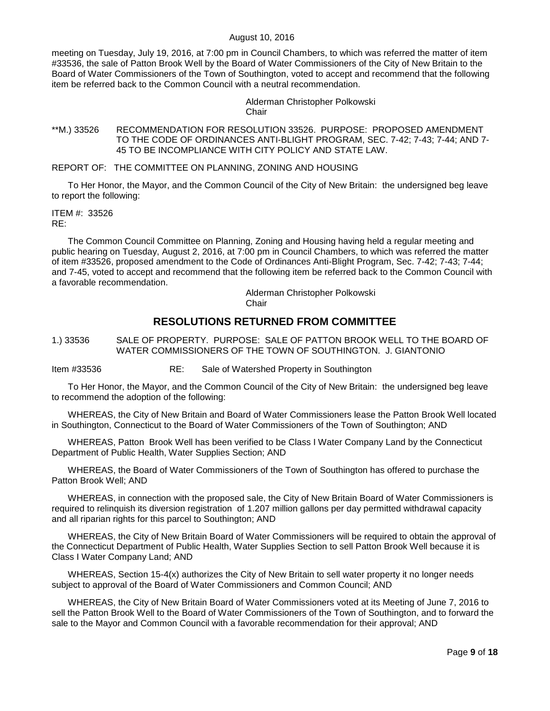meeting on Tuesday, July 19, 2016, at 7:00 pm in Council Chambers, to which was referred the matter of item #33536, the sale of Patton Brook Well by the Board of Water Commissioners of the City of New Britain to the Board of Water Commissioners of the Town of Southington, voted to accept and recommend that the following item be referred back to the Common Council with a neutral recommendation.

> Alderman Christopher Polkowski **Chair**

<span id="page-8-0"></span>\*\*M.) 33526 RECOMMENDATION FOR RESOLUTION 33526. PURPOSE: PROPOSED AMENDMENT TO THE CODE OF ORDINANCES ANTI-BLIGHT PROGRAM, SEC. 7-42; 7-43; 7-44; AND 7- 45 TO BE INCOMPLIANCE WITH CITY POLICY AND STATE LAW.

REPORT OF: THE COMMITTEE ON PLANNING, ZONING AND HOUSING

To Her Honor, the Mayor, and the Common Council of the City of New Britain: the undersigned beg leave to report the following:

ITEM #: 33526 RE:

The Common Council Committee on Planning, Zoning and Housing having held a regular meeting and public hearing on Tuesday, August 2, 2016, at 7:00 pm in Council Chambers, to which was referred the matter of item #33526, proposed amendment to the Code of Ordinances Anti-Blight Program, Sec. 7-42; 7-43; 7-44; and 7-45, voted to accept and recommend that the following item be referred back to the Common Council with a favorable recommendation.

Alderman Christopher Polkowski

**Chair** 

# **RESOLUTIONS RETURNED FROM COMMITTEE**

<span id="page-8-1"></span>1.) 33536 SALE OF PROPERTY. PURPOSE: SALE OF PATTON BROOK WELL TO THE BOARD OF WATER COMMISSIONERS OF THE TOWN OF SOUTHINGTON. J. GIANTONIO

Item #33536 RE: Sale of Watershed Property in Southington

To Her Honor, the Mayor, and the Common Council of the City of New Britain: the undersigned beg leave to recommend the adoption of the following:

WHEREAS, the City of New Britain and Board of Water Commissioners lease the Patton Brook Well located in Southington, Connecticut to the Board of Water Commissioners of the Town of Southington; AND

WHEREAS, Patton Brook Well has been verified to be Class I Water Company Land by the Connecticut Department of Public Health, Water Supplies Section; AND

WHEREAS, the Board of Water Commissioners of the Town of Southington has offered to purchase the Patton Brook Well; AND

WHEREAS, in connection with the proposed sale, the City of New Britain Board of Water Commissioners is required to relinquish its diversion registration of 1.207 million gallons per day permitted withdrawal capacity and all riparian rights for this parcel to Southington; AND

WHEREAS, the City of New Britain Board of Water Commissioners will be required to obtain the approval of the Connecticut Department of Public Health, Water Supplies Section to sell Patton Brook Well because it is Class I Water Company Land; AND

WHEREAS, Section 15-4(x) authorizes the City of New Britain to sell water property it no longer needs subject to approval of the Board of Water Commissioners and Common Council; AND

WHEREAS, the City of New Britain Board of Water Commissioners voted at its Meeting of June 7, 2016 to sell the Patton Brook Well to the Board of Water Commissioners of the Town of Southington, and to forward the sale to the Mayor and Common Council with a favorable recommendation for their approval; AND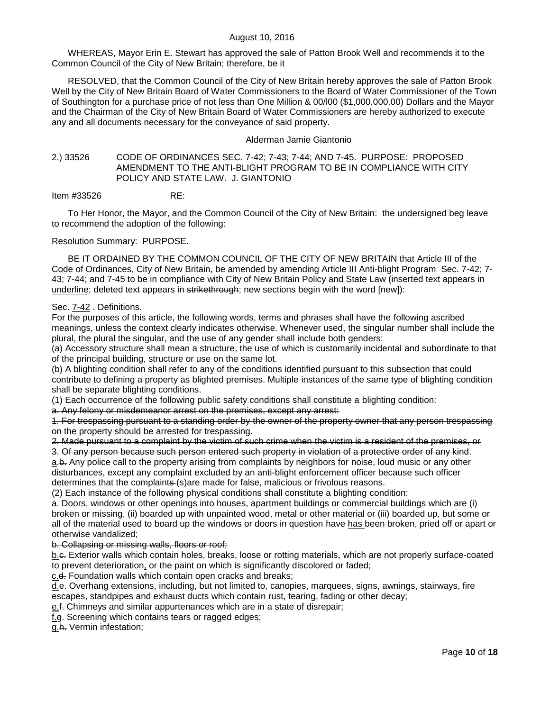WHEREAS, Mayor Erin E. Stewart has approved the sale of Patton Brook Well and recommends it to the Common Council of the City of New Britain; therefore, be it

RESOLVED, that the Common Council of the City of New Britain hereby approves the sale of Patton Brook Well by the City of New Britain Board of Water Commissioners to the Board of Water Commissioner of the Town of Southington for a purchase price of not less than One Million & 00/l00 (\$1,000,000.00) Dollars and the Mayor and the Chairman of the City of New Britain Board of Water Commissioners are hereby authorized to execute any and all documents necessary for the conveyance of said property.

### Alderman Jamie Giantonio

### <span id="page-9-0"></span>2.) 33526 CODE OF ORDINANCES SEC. 7-42; 7-43; 7-44; AND 7-45. PURPOSE: PROPOSED AMENDMENT TO THE ANTI-BLIGHT PROGRAM TO BE IN COMPLIANCE WITH CITY POLICY AND STATE LAW. J. GIANTONIO

Item #33526 RE:

To Her Honor, the Mayor, and the Common Council of the City of New Britain: the undersigned beg leave to recommend the adoption of the following:

Resolution Summary: PURPOSE.

BE IT ORDAINED BY THE COMMON COUNCIL OF THE CITY OF NEW BRITAIN that Article III of the Code of Ordinances, City of New Britain, be amended by amending Article III Anti-blight Program Sec. 7-42; 7- 43; 7-44; and 7-45 to be in compliance with City of New Britain Policy and State Law (inserted text appears in underline; deleted text appears in strikethrough; new sections begin with the word [new]):

### Sec. 7-42 . Definitions.

For the purposes of this article, the following words, terms and phrases shall have the following ascribed meanings, unless the context clearly indicates otherwise. Whenever used, the singular number shall include the plural, the plural the singular, and the use of any gender shall include both genders:

(a) Accessory structure shall mean a structure, the use of which is customarily incidental and subordinate to that of the principal building, structure or use on the same lot.

(b) A blighting condition shall refer to any of the conditions identified pursuant to this subsection that could contribute to defining a property as blighted premises. Multiple instances of the same type of blighting condition shall be separate blighting conditions.

(1) Each occurrence of the following public safety conditions shall constitute a blighting condition:

a. Any felony or misdemeanor arrest on the premises, except any arrest:

1. For trespassing pursuant to a standing order by the owner of the property owner that any person trespassing on the property should be arrested for trespassing.

2. Made pursuant to a complaint by the victim of such crime when the victim is a resident of the premises, or

3. Of any person because such person entered such property in violation of a protective order of any kind. a.b. Any police call to the property arising from complaints by neighbors for noise, loud music or any other disturbances, except any complaint excluded by an anti-blight enforcement officer because such officer determines that the complaints (s)are made for false, malicious or frivolous reasons.

(2) Each instance of the following physical conditions shall constitute a blighting condition:

a. Doors, windows or other openings into houses, apartment buildings or commercial buildings which are (i) broken or missing, (ii) boarded up with unpainted wood, metal or other material or (iii) boarded up, but some or all of the material used to board up the windows or doors in question have has been broken, pried off or apart or otherwise vandalized;

#### b. Collapsing or missing walls, floors or roof;

b.c. Exterior walls which contain holes, breaks, loose or rotting materials, which are not properly surface-coated to prevent deterioration, or the paint on which is significantly discolored or faded;

c.d. Foundation walls which contain open cracks and breaks;

d.e. Overhang extensions, including, but not limited to, canopies, marquees, signs, awnings, stairways, fire escapes, standpipes and exhaust ducts which contain rust, tearing, fading or other decay;

e.f. Chimneys and similar appurtenances which are in a state of disrepair;

f.g. Screening which contains tears or ragged edges;

g.h. Vermin infestation;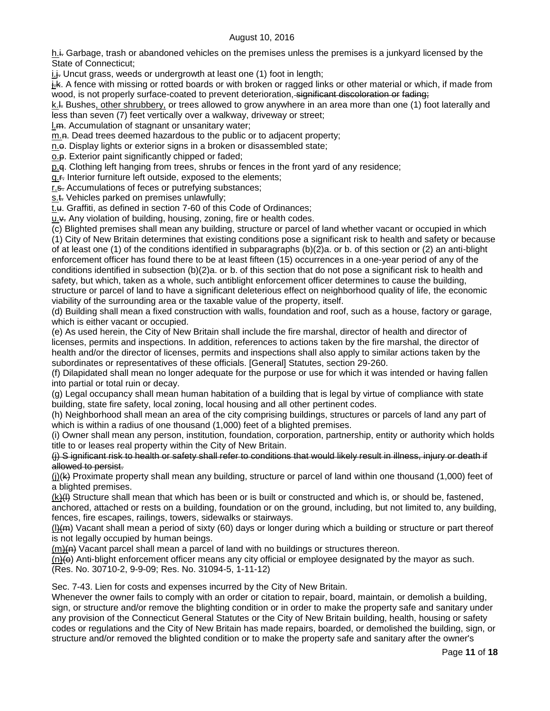$h +$  Garbage, trash or abandoned vehicles on the premises unless the premises is a junkyard licensed by the State of Connecticut;

 $i.f.$  Uncut grass, weeds or undergrowth at least one  $(1)$  foot in length;

j.k. A fence with missing or rotted boards or with broken or ragged links or other material or which, if made from wood, is not properly surface-coated to prevent deterioration, significant discoloration or fading;

k.l. Bushes, other shrubbery, or trees allowed to grow anywhere in an area more than one (1) foot laterally and less than seven (7) feet vertically over a walkway, driveway or street;

l.m. Accumulation of stagnant or unsanitary water;

m.n. Dead trees deemed hazardous to the public or to adjacent property;

n.e. Display lights or exterior signs in a broken or disassembled state;

o.p. Exterior paint significantly chipped or faded;

p.q. Clothing left hanging from trees, shrubs or fences in the front yard of any residence;

q.f. Interior furniture left outside, exposed to the elements;

r.s. Accumulations of feces or putrefying substances;

s.t. Vehicles parked on premises unlawfully;

t.u. Graffiti, as defined in section 7-60 of this Code of Ordinances;

 $u.\star$ . Any violation of building, housing, zoning, fire or health codes.

(c) Blighted premises shall mean any building, structure or parcel of land whether vacant or occupied in which (1) City of New Britain determines that existing conditions pose a significant risk to health and safety or because of at least one (1) of the conditions identified in subparagraphs (b)(2)a. or b. of this section or (2) an anti-blight enforcement officer has found there to be at least fifteen (15) occurrences in a one-year period of any of the conditions identified in subsection (b)(2)a. or b. of this section that do not pose a significant risk to health and safety, but which, taken as a whole, such antiblight enforcement officer determines to cause the building, structure or parcel of land to have a significant deleterious effect on neighborhood quality of life, the economic viability of the surrounding area or the taxable value of the property, itself.

(d) Building shall mean a fixed construction with walls, foundation and roof, such as a house, factory or garage, which is either vacant or occupied.

(e) As used herein, the City of New Britain shall include the fire marshal, director of health and director of licenses, permits and inspections. In addition, references to actions taken by the fire marshal, the director of health and/or the director of licenses, permits and inspections shall also apply to similar actions taken by the subordinates or representatives of these officials. [General] Statutes, section 29-260.

(f) Dilapidated shall mean no longer adequate for the purpose or use for which it was intended or having fallen into partial or total ruin or decay.

(g) Legal occupancy shall mean human habitation of a building that is legal by virtue of compliance with state building, state fire safety, local zoning, local housing and all other pertinent codes.

(h) Neighborhood shall mean an area of the city comprising buildings, structures or parcels of land any part of which is within a radius of one thousand (1,000) feet of a blighted premises.

(i) Owner shall mean any person, institution, foundation, corporation, partnership, entity or authority which holds title to or leases real property within the City of New Britain.

(j) S ignificant risk to health or safety shall refer to conditions that would likely result in illness, injury or death if allowed to persist.

 $(i)$ (k) Proximate property shall mean any building, structure or parcel of land within one thousand (1,000) feet of a blighted premises.

(k)(I) Structure shall mean that which has been or is built or constructed and which is, or should be, fastened, anchored, attached or rests on a building, foundation or on the ground, including, but not limited to, any building, fences, fire escapes, railings, towers, sidewalks or stairways.

 $(l)$ ( $m$ ) Vacant shall mean a period of sixty (60) days or longer during which a building or structure or part thereof is not legally occupied by human beings.

(m)(n) Vacant parcel shall mean a parcel of land with no buildings or structures thereon.

 $(n)$  Anti-blight enforcement officer means any city official or employee designated by the mayor as such.

(Res. No. 30710-2, 9-9-09; Res. No. 31094-5, 1-11-12)

Sec. 7-43. Lien for costs and expenses incurred by the City of New Britain.

Whenever the owner fails to comply with an order or citation to repair, board, maintain, or demolish a building, sign, or structure and/or remove the blighting condition or in order to make the property safe and sanitary under any provision of the Connecticut General Statutes or the City of New Britain building, health, housing or safety codes or regulations and the City of New Britain has made repairs, boarded, or demolished the building, sign, or structure and/or removed the blighted condition or to make the property safe and sanitary after the owner's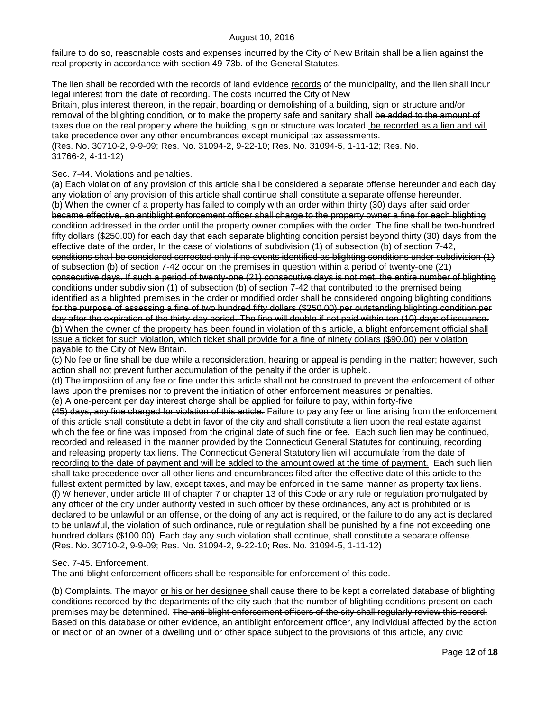failure to do so, reasonable costs and expenses incurred by the City of New Britain shall be a lien against the real property in accordance with section 49-73b. of the General Statutes.

The lien shall be recorded with the records of land evidence records of the municipality, and the lien shall incur legal interest from the date of recording. The costs incurred the City of New

Britain, plus interest thereon, in the repair, boarding or demolishing of a building, sign or structure and/or removal of the blighting condition, or to make the property safe and sanitary shall be added to the amount of taxes due on the real property where the building, sign or structure was located, be recorded as a lien and will take precedence over any other encumbrances except municipal tax assessments.

(Res. No. 30710-2, 9-9-09; Res. No. 31094-2, 9-22-10; Res. No. 31094-5, 1-11-12; Res. No. 31766-2, 4-11-12)

## Sec. 7-44. Violations and penalties.

(a) Each violation of any provision of this article shall be considered a separate offense hereunder and each day any violation of any provision of this article shall continue shall constitute a separate offense hereunder. (b) When the owner of a property has failed to comply with an order within thirty (30) days after said order became effective, an antiblight enforcement officer shall charge to the property owner a fine for each blighting condition addressed in the order until the property owner complies with the order. The fine shall be two-hundred fifty dollars (\$250.00) for each day that each separate blighting condition persist beyond thirty (30) days from the effective date of the order, In the case of violations of subdivision (1) of subsection (b) of section 7-42, conditions shall be considered corrected only if no events identified as blighting conditions under subdivision (1) of subsection (b) of section 7-42 occur on the premises in question within a period of twenty-one (21) consecutive days. If such a period of twenty-one (21) consecutive days is not met, the entire number of blighting conditions under subdivision (1) of subsection (b) of section 7-42 that contributed to the premised being identified as a blighted premises in the order or modified order shall be considered ongoing blighting conditions for the purpose of assessing a fine of two hundred fifty dollars (\$250.00) per outstanding blighting condition per day after the expiration of the thirty-day period. The fine will double if not paid within ten (10) days of issuance. (b) When the owner of the property has been found in violation of this article, a blight enforcement official shall issue a ticket for such violation, which ticket shall provide for a fine of ninety dollars (\$90.00) per violation payable to the City of New Britain.

(c) No fee or fine shall be due while a reconsideration, hearing or appeal is pending in the matter; however, such action shall not prevent further accumulation of the penalty if the order is upheld.

(d) The imposition of any fee or fine under this article shall not be construed to prevent the enforcement of other laws upon the premises nor to prevent the initiation of other enforcement measures or penalties.

(e) A one-percent per day interest charge shall be applied for failure to pay, within forty-five

(45) days, any fine charged for violation of this article. Failure to pay any fee or fine arising from the enforcement of this article shall constitute a debt in favor of the city and shall constitute a lien upon the real estate against which the fee or fine was imposed from the original date of such fine or fee. Each such lien may be continued, recorded and released in the manner provided by the Connecticut General Statutes for continuing, recording and releasing property tax liens. The Connecticut General Statutory lien will accumulate from the date of recording to the date of payment and will be added to the amount owed at the time of payment. Each such lien shall take precedence over all other liens and encumbrances filed after the effective date of this article to the fullest extent permitted by law, except taxes, and may be enforced in the same manner as property tax liens. (f) W henever, under article III of chapter 7 or chapter 13 of this Code or any rule or regulation promulgated by any officer of the city under authority vested in such officer by these ordinances, any act is prohibited or is declared to be unlawful or an offense, or the doing of any act is required, or the failure to do any act is declared to be unlawful, the violation of such ordinance, rule or regulation shall be punished by a fine not exceeding one hundred dollars (\$100.00). Each day any such violation shall continue, shall constitute a separate offense. (Res. No. 30710-2, 9-9-09; Res. No. 31094-2, 9-22-10; Res. No. 31094-5, 1-11-12)

# Sec. 7-45. Enforcement.

The anti-blight enforcement officers shall be responsible for enforcement of this code.

(b) Complaints. The mayor or his or her designee shall cause there to be kept a correlated database of blighting conditions recorded by the departments of the city such that the number of blighting conditions present on each premises may be determined. The anti-blight enforcement officers of the city shall regularly review this record. Based on this database or other evidence, an antiblight enforcement officer, any individual affected by the action or inaction of an owner of a dwelling unit or other space subject to the provisions of this article, any civic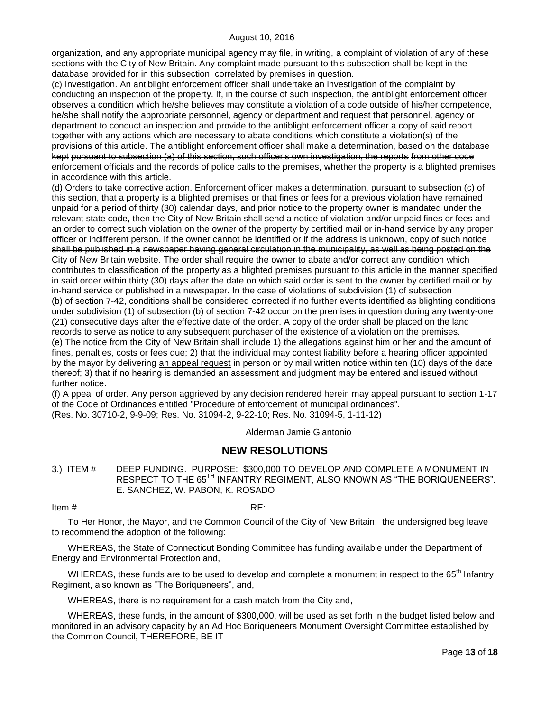organization, and any appropriate municipal agency may file, in writing, a complaint of violation of any of these sections with the City of New Britain. Any complaint made pursuant to this subsection shall be kept in the database provided for in this subsection, correlated by premises in question.

(c) Investigation. An antiblight enforcement officer shall undertake an investigation of the complaint by conducting an inspection of the property. If, in the course of such inspection, the antiblight enforcement officer observes a condition which he/she believes may constitute a violation of a code outside of his/her competence, he/she shall notify the appropriate personnel, agency or department and request that personnel, agency or department to conduct an inspection and provide to the antiblight enforcement officer a copy of said report together with any actions which are necessary to abate conditions which constitute a violation(s) of the provisions of this article. The antiblight enforcement officer shall make a determination, based on the database kept pursuant to subsection (a) of this section, such officer's own investigation, the reports from other code enforcement officials and the records of police calls to the premises, whether the property is a blighted premises in accordance with this article.

(d) Orders to take corrective action. Enforcement officer makes a determination, pursuant to subsection (c) of this section, that a property is a blighted premises or that fines or fees for a previous violation have remained unpaid for a period of thirty (30) calendar days, and prior notice to the property owner is mandated under the relevant state code, then the City of New Britain shall send a notice of violation and/or unpaid fines or fees and an order to correct such violation on the owner of the property by certified mail or in-hand service by any proper officer or indifferent person. If the owner cannot be identified or if the address is unknown, copy of such notice shall be published in a newspaper having general circulation in the municipality, as well as being posted on the City of New Britain website. The order shall require the owner to abate and/or correct any condition which contributes to classification of the property as a blighted premises pursuant to this article in the manner specified in said order within thirty (30) days after the date on which said order is sent to the owner by certified mail or by in-hand service or published in a newspaper. In the case of violations of subdivision (1) of subsection (b) of section 7-42, conditions shall be considered corrected if no further events identified as blighting conditions under subdivision (1) of subsection (b) of section 7-42 occur on the premises in question during any twenty-one (21) consecutive days after the effective date of the order. A copy of the order shall be placed on the land records to serve as notice to any subsequent purchaser of the existence of a violation on the premises. (e) The notice from the City of New Britain shall include 1) the allegations against him or her and the amount of fines, penalties, costs or fees due; 2) that the individual may contest liability before a hearing officer appointed by the mayor by delivering an appeal request in person or by mail written notice within ten (10) days of the date thereof; 3) that if no hearing is demanded an assessment and judgment may be entered and issued without further notice.

(f) A ppeal of order. Any person aggrieved by any decision rendered herein may appeal pursuant to section 1-17 of the Code of Ordinances entitled "Procedure of enforcement of municipal ordinances". (Res. No. 30710-2, 9-9-09; Res. No. 31094-2, 9-22-10; Res. No. 31094-5, 1-11-12)

Alderman Jamie Giantonio

# **NEW RESOLUTIONS**

<span id="page-12-0"></span>3.) ITEM # DEEP FUNDING. PURPOSE: \$300,000 TO DEVELOP AND COMPLETE A MONUMENT IN RESPECT TO THE 65<sup>TH</sup> INFANTRY REGIMENT, ALSO KNOWN AS "THE BORIQUENEERS". E. SANCHEZ, W. PABON, K. ROSADO

### Item  $\#$  RE:

To Her Honor, the Mayor, and the Common Council of the City of New Britain: the undersigned beg leave to recommend the adoption of the following:

WHEREAS, the State of Connecticut Bonding Committee has funding available under the Department of Energy and Environmental Protection and,

WHEREAS, these funds are to be used to develop and complete a monument in respect to the 65<sup>th</sup> Infantry Regiment, also known as "The Boriqueneers", and,

WHEREAS, there is no requirement for a cash match from the City and,

WHEREAS, these funds, in the amount of \$300,000, will be used as set forth in the budget listed below and monitored in an advisory capacity by an Ad Hoc Boriqueneers Monument Oversight Committee established by the Common Council, THEREFORE, BE IT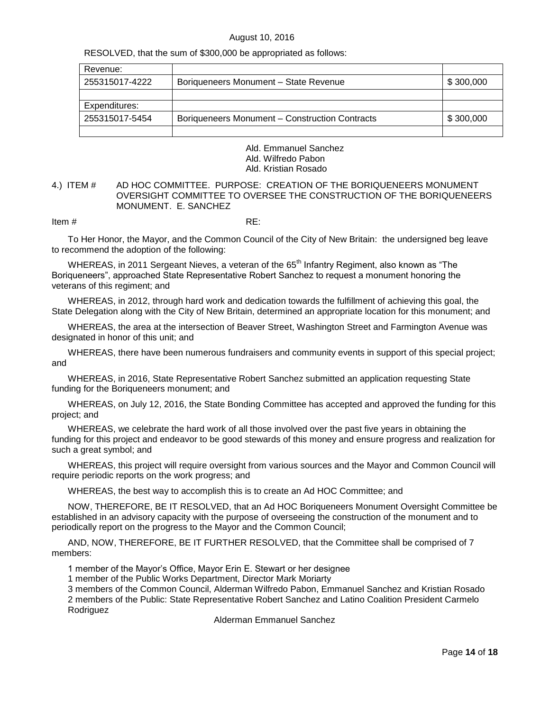RESOLVED, that the sum of \$300,000 be appropriated as follows:

| Revenue:       |                                                |           |
|----------------|------------------------------------------------|-----------|
| 255315017-4222 | Boriqueneers Monument - State Revenue          | \$300,000 |
|                |                                                |           |
| Expenditures:  |                                                |           |
| 255315017-5454 | Boriqueneers Monument - Construction Contracts | \$300,000 |
|                |                                                |           |

Ald. Emmanuel Sanchez Ald. Wilfredo Pabon Ald. Kristian Rosado

## <span id="page-13-0"></span>4.) ITEM # AD HOC COMMITTEE. PURPOSE: CREATION OF THE BORIQUENEERS MONUMENT OVERSIGHT COMMITTEE TO OVERSEE THE CONSTRUCTION OF THE BORIQUENEERS MONUMENT. E. SANCHEZ

Item  $\#$  RE:

To Her Honor, the Mayor, and the Common Council of the City of New Britain: the undersigned beg leave to recommend the adoption of the following:

WHEREAS, in 2011 Sergeant Nieves, a veteran of the 65<sup>th</sup> Infantry Regiment, also known as "The Boriqueneers", approached State Representative Robert Sanchez to request a monument honoring the veterans of this regiment; and

WHEREAS, in 2012, through hard work and dedication towards the fulfillment of achieving this goal, the State Delegation along with the City of New Britain, determined an appropriate location for this monument; and

WHEREAS, the area at the intersection of Beaver Street, Washington Street and Farmington Avenue was designated in honor of this unit; and

WHEREAS, there have been numerous fundraisers and community events in support of this special project; and

WHEREAS, in 2016, State Representative Robert Sanchez submitted an application requesting State funding for the Boriqueneers monument; and

WHEREAS, on July 12, 2016, the State Bonding Committee has accepted and approved the funding for this project; and

WHEREAS, we celebrate the hard work of all those involved over the past five years in obtaining the funding for this project and endeavor to be good stewards of this money and ensure progress and realization for such a great symbol; and

WHEREAS, this project will require oversight from various sources and the Mayor and Common Council will require periodic reports on the work progress; and

WHEREAS, the best way to accomplish this is to create an Ad HOC Committee; and

NOW, THEREFORE, BE IT RESOLVED, that an Ad HOC Boriqueneers Monument Oversight Committee be established in an advisory capacity with the purpose of overseeing the construction of the monument and to periodically report on the progress to the Mayor and the Common Council;

AND, NOW, THEREFORE, BE IT FURTHER RESOLVED, that the Committee shall be comprised of 7 members:

1 member of the Mayor"s Office, Mayor Erin E. Stewart or her designee

1 member of the Public Works Department, Director Mark Moriarty

3 members of the Common Council, Alderman Wilfredo Pabon, Emmanuel Sanchez and Kristian Rosado 2 members of the Public: State Representative Robert Sanchez and Latino Coalition President Carmelo **Rodriguez** 

Alderman Emmanuel Sanchez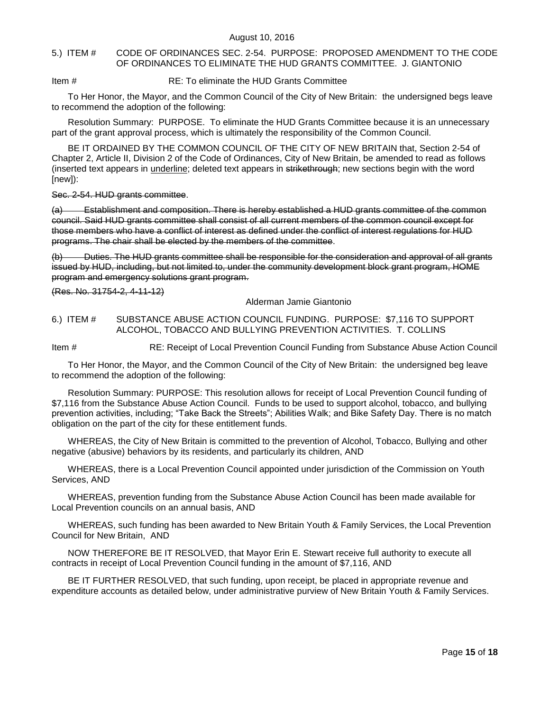## <span id="page-14-0"></span>5.) ITEM # CODE OF ORDINANCES SEC. 2-54. PURPOSE: PROPOSED AMENDMENT TO THE CODE OF ORDINANCES TO ELIMINATE THE HUD GRANTS COMMITTEE. J. GIANTONIO

## Item # RE: To eliminate the HUD Grants Committee

To Her Honor, the Mayor, and the Common Council of the City of New Britain: the undersigned begs leave to recommend the adoption of the following:

Resolution Summary: PURPOSE. To eliminate the HUD Grants Committee because it is an unnecessary part of the grant approval process, which is ultimately the responsibility of the Common Council.

BE IT ORDAINED BY THE COMMON COUNCIL OF THE CITY OF NEW BRITAIN that, Section 2-54 of Chapter 2, Article II, Division 2 of the Code of Ordinances, City of New Britain, be amended to read as follows (inserted text appears in underline; deleted text appears in strikethrough; new sections begin with the word [new]):

#### Sec. 2-54. HUD grants committee.

(a) Establishment and composition. There is hereby established a HUD grants committee of the common council. Said HUD grants committee shall consist of all current members of the common council except for those members who have a conflict of interest as defined under the conflict of interest regulations for HUD programs. The chair shall be elected by the members of the committee.

(b) Duties. The HUD grants committee shall be responsible for the consideration and approval of all grants issued by HUD, including, but not limited to, under the community development block grant program, HOME program and emergency solutions grant program.

(Res. No. 31754-2, 4-11-12)

Alderman Jamie Giantonio

## <span id="page-14-1"></span>6.) ITEM # SUBSTANCE ABUSE ACTION COUNCIL FUNDING. PURPOSE: \$7,116 TO SUPPORT ALCOHOL, TOBACCO AND BULLYING PREVENTION ACTIVITIES. T. COLLINS

Item # RE: Receipt of Local Prevention Council Funding from Substance Abuse Action Council

To Her Honor, the Mayor, and the Common Council of the City of New Britain: the undersigned beg leave to recommend the adoption of the following:

Resolution Summary: PURPOSE: This resolution allows for receipt of Local Prevention Council funding of \$7,116 from the Substance Abuse Action Council. Funds to be used to support alcohol, tobacco, and bullying prevention activities, including; "Take Back the Streets"; Abilities Walk; and Bike Safety Day. There is no match obligation on the part of the city for these entitlement funds.

WHEREAS, the City of New Britain is committed to the prevention of Alcohol, Tobacco, Bullying and other negative (abusive) behaviors by its residents, and particularly its children, AND

WHEREAS, there is a Local Prevention Council appointed under jurisdiction of the Commission on Youth Services, AND

WHEREAS, prevention funding from the Substance Abuse Action Council has been made available for Local Prevention councils on an annual basis, AND

WHEREAS, such funding has been awarded to New Britain Youth & Family Services, the Local Prevention Council for New Britain, AND

NOW THEREFORE BE IT RESOLVED, that Mayor Erin E. Stewart receive full authority to execute all contracts in receipt of Local Prevention Council funding in the amount of \$7,116, AND

BE IT FURTHER RESOLVED, that such funding, upon receipt, be placed in appropriate revenue and expenditure accounts as detailed below, under administrative purview of New Britain Youth & Family Services.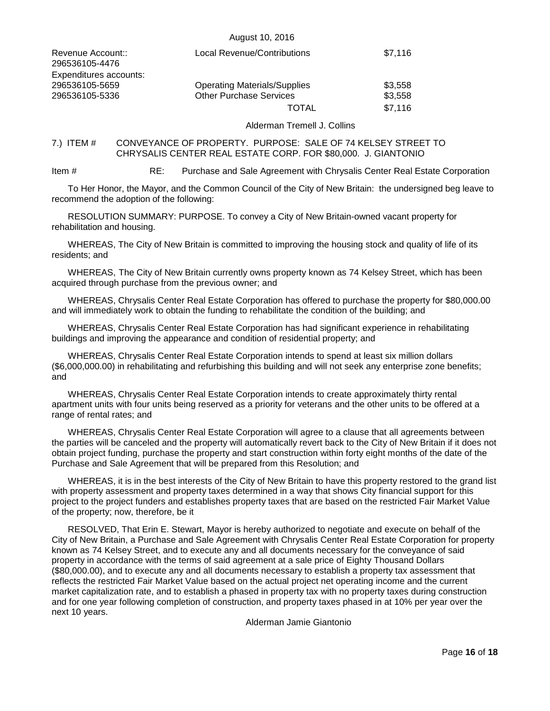| Revenue Account::<br>296536105-4476                        | <b>Local Revenue/Contributions</b>                                    | \$7,116            |
|------------------------------------------------------------|-----------------------------------------------------------------------|--------------------|
| Expenditures accounts:<br>296536105-5659<br>296536105-5336 | <b>Operating Materials/Supplies</b><br><b>Other Purchase Services</b> | \$3,558<br>\$3,558 |
|                                                            | TOTAL                                                                 | \$7,116            |

Alderman Tremell J. Collins

## <span id="page-15-0"></span>7.) ITEM # CONVEYANCE OF PROPERTY. PURPOSE: SALE OF 74 KELSEY STREET TO CHRYSALIS CENTER REAL ESTATE CORP. FOR \$80,000. J. GIANTONIO

August 10, 2016

Item # RE: Purchase and Sale Agreement with Chrysalis Center Real Estate Corporation

To Her Honor, the Mayor, and the Common Council of the City of New Britain: the undersigned beg leave to recommend the adoption of the following:

RESOLUTION SUMMARY: PURPOSE. To convey a City of New Britain-owned vacant property for rehabilitation and housing.

WHEREAS, The City of New Britain is committed to improving the housing stock and quality of life of its residents; and

WHEREAS, The City of New Britain currently owns property known as 74 Kelsey Street, which has been acquired through purchase from the previous owner; and

WHEREAS, Chrysalis Center Real Estate Corporation has offered to purchase the property for \$80,000.00 and will immediately work to obtain the funding to rehabilitate the condition of the building; and

WHEREAS, Chrysalis Center Real Estate Corporation has had significant experience in rehabilitating buildings and improving the appearance and condition of residential property; and

WHEREAS, Chrysalis Center Real Estate Corporation intends to spend at least six million dollars (\$6,000,000.00) in rehabilitating and refurbishing this building and will not seek any enterprise zone benefits; and

WHEREAS, Chrysalis Center Real Estate Corporation intends to create approximately thirty rental apartment units with four units being reserved as a priority for veterans and the other units to be offered at a range of rental rates; and

WHEREAS, Chrysalis Center Real Estate Corporation will agree to a clause that all agreements between the parties will be canceled and the property will automatically revert back to the City of New Britain if it does not obtain project funding, purchase the property and start construction within forty eight months of the date of the Purchase and Sale Agreement that will be prepared from this Resolution; and

WHEREAS, it is in the best interests of the City of New Britain to have this property restored to the grand list with property assessment and property taxes determined in a way that shows City financial support for this project to the project funders and establishes property taxes that are based on the restricted Fair Market Value of the property; now, therefore, be it

RESOLVED, That Erin E. Stewart, Mayor is hereby authorized to negotiate and execute on behalf of the City of New Britain, a Purchase and Sale Agreement with Chrysalis Center Real Estate Corporation for property known as 74 Kelsey Street, and to execute any and all documents necessary for the conveyance of said property in accordance with the terms of said agreement at a sale price of Eighty Thousand Dollars (\$80,000.00), and to execute any and all documents necessary to establish a property tax assessment that reflects the restricted Fair Market Value based on the actual project net operating income and the current market capitalization rate, and to establish a phased in property tax with no property taxes during construction and for one year following completion of construction, and property taxes phased in at 10% per year over the next 10 years.

Alderman Jamie Giantonio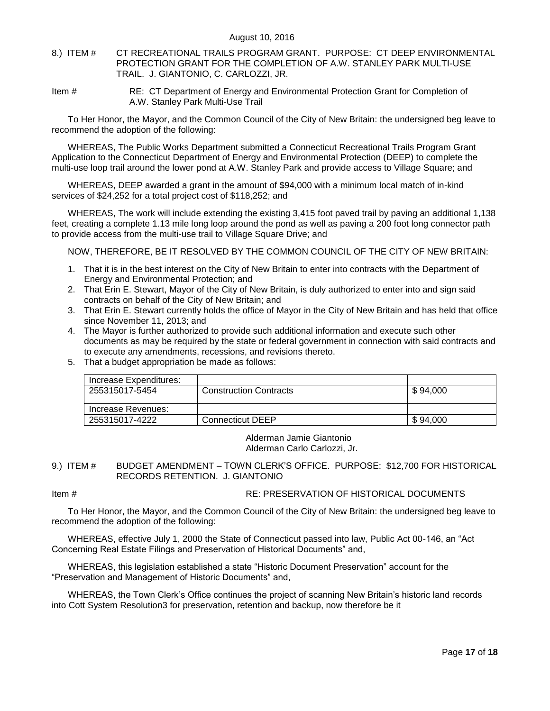- <span id="page-16-0"></span>8.) ITEM # CT RECREATIONAL TRAILS PROGRAM GRANT. PURPOSE: CT DEEP ENVIRONMENTAL PROTECTION GRANT FOR THE COMPLETION OF A.W. STANLEY PARK MULTI-USE TRAIL. J. GIANTONIO, C. CARLOZZI, JR.
- Item # RE: CT Department of Energy and Environmental Protection Grant for Completion of A.W. Stanley Park Multi-Use Trail

To Her Honor, the Mayor, and the Common Council of the City of New Britain: the undersigned beg leave to recommend the adoption of the following:

WHEREAS, The Public Works Department submitted a Connecticut Recreational Trails Program Grant Application to the Connecticut Department of Energy and Environmental Protection (DEEP) to complete the multi-use loop trail around the lower pond at A.W. Stanley Park and provide access to Village Square; and

WHEREAS, DEEP awarded a grant in the amount of \$94,000 with a minimum local match of in-kind services of \$24,252 for a total project cost of \$118,252; and

WHEREAS, The work will include extending the existing 3,415 foot paved trail by paving an additional 1,138 feet, creating a complete 1.13 mile long loop around the pond as well as paving a 200 foot long connector path to provide access from the multi-use trail to Village Square Drive; and

NOW, THEREFORE, BE IT RESOLVED BY THE COMMON COUNCIL OF THE CITY OF NEW BRITAIN:

- 1. That it is in the best interest on the City of New Britain to enter into contracts with the Department of Energy and Environmental Protection; and
- 2. That Erin E. Stewart, Mayor of the City of New Britain, is duly authorized to enter into and sign said contracts on behalf of the City of New Britain; and
- 3. That Erin E. Stewart currently holds the office of Mayor in the City of New Britain and has held that office since November 11, 2013; and
- 4. The Mayor is further authorized to provide such additional information and execute such other documents as may be required by the state or federal government in connection with said contracts and to execute any amendments, recessions, and revisions thereto.
- 5. That a budget appropriation be made as follows:

| Increase Expenditures: |                               |          |
|------------------------|-------------------------------|----------|
| 255315017-5454         | <b>Construction Contracts</b> | \$94,000 |
|                        |                               |          |
| Increase Revenues:     |                               |          |
| 255315017-4222         | <b>Connecticut DEEP</b>       | \$94,000 |

Alderman Jamie Giantonio Alderman Carlo Carlozzi, Jr.

<span id="page-16-1"></span>9.) ITEM # BUDGET AMENDMENT – TOWN CLERK"S OFFICE. PURPOSE: \$12,700 FOR HISTORICAL RECORDS RETENTION. J. GIANTONIO

# Item # RE: PRESERVATION OF HISTORICAL DOCUMENTS

To Her Honor, the Mayor, and the Common Council of the City of New Britain: the undersigned beg leave to recommend the adoption of the following:

WHEREAS, effective July 1, 2000 the State of Connecticut passed into law, Public Act 00-146, an "Act Concerning Real Estate Filings and Preservation of Historical Documents" and,

WHEREAS, this legislation established a state "Historic Document Preservation" account for the "Preservation and Management of Historic Documents" and,

WHEREAS, the Town Clerk"s Office continues the project of scanning New Britain"s historic land records into Cott System Resolution3 for preservation, retention and backup, now therefore be it